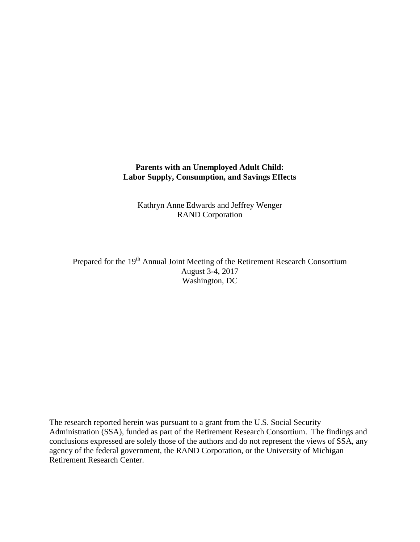## **Parents with an Unemployed Adult Child: Labor Supply, Consumption, and Savings Effects**

Kathryn Anne Edwards and Jeffrey Wenger RAND Corporation

Prepared for the 19<sup>th</sup> Annual Joint Meeting of the Retirement Research Consortium August 3-4, 2017 Washington, DC

The research reported herein was pursuant to a grant from the U.S. Social Security Administration (SSA), funded as part of the Retirement Research Consortium. The findings and conclusions expressed are solely those of the authors and do not represent the views of SSA, any agency of the federal government, the RAND Corporation, or the University of Michigan Retirement Research Center.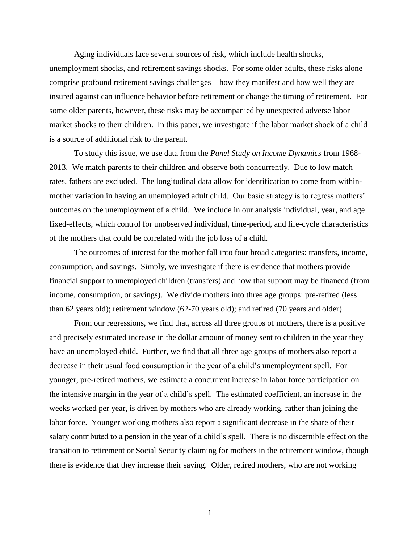Aging individuals face several sources of risk, which include health shocks, unemployment shocks, and retirement savings shocks. For some older adults, these risks alone comprise profound retirement savings challenges – how they manifest and how well they are insured against can influence behavior before retirement or change the timing of retirement. For some older parents, however, these risks may be accompanied by unexpected adverse labor market shocks to their children. In this paper, we investigate if the labor market shock of a child is a source of additional risk to the parent.

To study this issue, we use data from the *Panel Study on Income Dynamics* from 1968- 2013. We match parents to their children and observe both concurrently. Due to low match rates, fathers are excluded. The longitudinal data allow for identification to come from withinmother variation in having an unemployed adult child. Our basic strategy is to regress mothers' outcomes on the unemployment of a child. We include in our analysis individual, year, and age fixed-effects, which control for unobserved individual, time-period, and life-cycle characteristics of the mothers that could be correlated with the job loss of a child.

The outcomes of interest for the mother fall into four broad categories: transfers, income, consumption, and savings. Simply, we investigate if there is evidence that mothers provide financial support to unemployed children (transfers) and how that support may be financed (from income, consumption, or savings). We divide mothers into three age groups: pre-retired (less than 62 years old); retirement window (62-70 years old); and retired (70 years and older).

From our regressions, we find that, across all three groups of mothers, there is a positive and precisely estimated increase in the dollar amount of money sent to children in the year they have an unemployed child. Further, we find that all three age groups of mothers also report a decrease in their usual food consumption in the year of a child's unemployment spell. For younger, pre-retired mothers, we estimate a concurrent increase in labor force participation on the intensive margin in the year of a child's spell. The estimated coefficient, an increase in the weeks worked per year, is driven by mothers who are already working, rather than joining the labor force. Younger working mothers also report a significant decrease in the share of their salary contributed to a pension in the year of a child's spell. There is no discernible effect on the transition to retirement or Social Security claiming for mothers in the retirement window, though there is evidence that they increase their saving. Older, retired mothers, who are not working

1